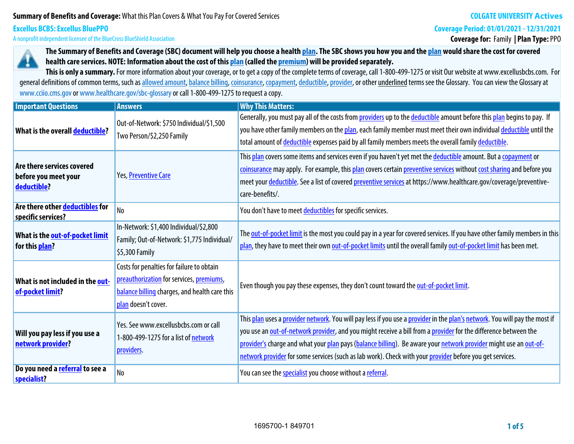# **Summary of Benefits and Coverage: What this Plan Covers & What You Pay For Covered Services**

# **COLGATE UNIVERSITY Actives**

**Coverage Period: 01/01/2021 - 12/31/2021**

**A nonprofit independent licensee of the BlueCross BlueShield Association**

**Excellus BCBS: Excellus BluePPO**

# **Coverage for: Family | Plan Type: PPO**



**The Summary of Benefits and Coverage (SBC) document will help you choose a health plan. The SBC shows you how you and the plan would share the cost for covered health care services. NOTE: Information about the cost of this plan (called the premium) will be provided separately.**

This is only a summary. For more information about your coverage, or to get a copy of the complete terms of coverage, call 1-800-499-1275 or visit Our website at www.excellusbcbs.com. For general definitions of common terms, such as allowed amount, balance billing, coinsurance, copayment, deductible, provider, or other underlined terms see the Glossary. You can view the Glossary at **www.cciio.cms.gov or www.healthcare.gov/sbc-glossary or call 1-800-499-1275 to request a copy.**

| <b>Important Questions</b>                                        | <b>Answers</b>                                                                                                                                                | <b>Why This Matters:</b>                                                                                                                                                                                                                                                                                                                                                                                                                                                      |  |  |  |
|-------------------------------------------------------------------|---------------------------------------------------------------------------------------------------------------------------------------------------------------|-------------------------------------------------------------------------------------------------------------------------------------------------------------------------------------------------------------------------------------------------------------------------------------------------------------------------------------------------------------------------------------------------------------------------------------------------------------------------------|--|--|--|
| What is the overall deductible?                                   | Out-of-Network: \$750 Individual/\$1,500<br>Two Person/\$2,250 Family                                                                                         | Generally, you must pay all of the costs from providers up to the deductible amount before this plan begins to pay. If<br>you have other family members on the plan, each family member must meet their own individual deductible until the<br>total amount of <i>deductible</i> expenses paid by all family members meets the overall family deductible.                                                                                                                     |  |  |  |
| Are there services covered<br>before you meet your<br>deductible? | Yes, Preventive Care                                                                                                                                          | This plan covers some items and services even if you haven't yet met the deductible amount. But a copayment or<br>coinsurance may apply. For example, this plan covers certain preventive services without cost sharing and before you<br>meet your deductible. See a list of covered preventive services at https://www.healthcare.gov/coverage/preventive-<br>care-benefits/.                                                                                               |  |  |  |
| Are there other deductibles for<br>specific services?             | N <sub>0</sub>                                                                                                                                                | You don't have to meet deductibles for specific services.                                                                                                                                                                                                                                                                                                                                                                                                                     |  |  |  |
| What is the out-of-pocket limit<br>for this plan?                 | In-Network: \$1,400 Individual/\$2,800<br>Family; Out-of-Network: \$1,775 Individual/<br>\$5,300 Family                                                       | The out-of-pocket limit is the most you could pay in a year for covered services. If you have other family members in this<br>plan, they have to meet their own out-of-pocket limits until the overall family out-of-pocket limit has been met.                                                                                                                                                                                                                               |  |  |  |
| What is not included in the out-<br>of-pocket limit?              | Costs for penalties for failure to obtain<br>preauthorization for services, premiums,<br>balance billing charges, and health care this<br>plan doesn't cover. | Even though you pay these expenses, they don't count toward the out-of-pocket limit.                                                                                                                                                                                                                                                                                                                                                                                          |  |  |  |
| Will you pay less if you use a<br>network provider?               | Yes. See www.excellusbcbs.com or call<br>1-800-499-1275 for a list of network<br>providers.                                                                   | This plan uses a provider network. You will pay less if you use a provider in the plan's network. You will pay the most if<br>you use an out-of-network provider, and you might receive a bill from a provider for the difference between the<br>provider's charge and what your plan pays (balance billing). Be aware your network provider might use an out-of-<br>network provider for some services (such as lab work). Check with your provider before you get services. |  |  |  |
| Do you need a referral to see a<br>specialist?                    | No                                                                                                                                                            | You can see the <b>specialist</b> you choose without a referral.                                                                                                                                                                                                                                                                                                                                                                                                              |  |  |  |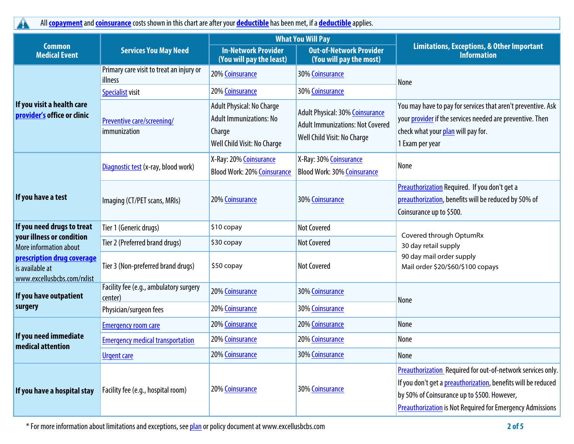**All copayment and coinsurance costs shown in this chart are after your deductible has been met, if a deductible applies.**

|                                                                              |                                                     |                                                                                                             | <b>What You Will Pay</b>                                                                                  |                                                                                                                                                                                                                                                 |  |
|------------------------------------------------------------------------------|-----------------------------------------------------|-------------------------------------------------------------------------------------------------------------|-----------------------------------------------------------------------------------------------------------|-------------------------------------------------------------------------------------------------------------------------------------------------------------------------------------------------------------------------------------------------|--|
| <b>Common</b><br><b>Medical Event</b>                                        | <b>Services You May Need</b>                        | <b>In-Network Provider</b><br>(You will pay the least)                                                      | <b>Out-of-Network Provider</b><br>(You will pay the most)                                                 | <b>Limitations, Exceptions, &amp; Other Important</b><br><b>Information</b>                                                                                                                                                                     |  |
|                                                                              | Primary care visit to treat an injury or<br>illness | 20% Coinsurance                                                                                             | 30% Coinsurance                                                                                           | None                                                                                                                                                                                                                                            |  |
|                                                                              | <b>Specialist visit</b>                             | 20% Coinsurance                                                                                             | 30% Coinsurance                                                                                           |                                                                                                                                                                                                                                                 |  |
| If you visit a health care<br>provider's office or clinic                    | Preventive care/screening/<br>immunization          | <b>Adult Physical: No Charge</b><br><b>Adult Immunizations: No</b><br>Charge<br>Well Child Visit: No Charge | Adult Physical: 30% Coinsurance<br><b>Adult Immunizations: Not Covered</b><br>Well Child Visit: No Charge | You may have to pay for services that aren't preventive. Ask<br>your provider if the services needed are preventive. Then<br>check what your plan will pay for.<br>1 Exam per year                                                              |  |
|                                                                              | Diagnostic test (x-ray, blood work)                 | X-Ray: 20% Coinsurance<br><b>Blood Work: 20% Coinsurance</b>                                                | X-Ray: 30% Coinsurance<br><b>Blood Work: 30% Coinsurance</b>                                              | None                                                                                                                                                                                                                                            |  |
| If you have a test                                                           | Imaging (CT/PET scans, MRIs)                        | 20% Coinsurance                                                                                             | 30% Coinsurance                                                                                           | Preauthorization Required. If you don't get a<br>preauthorization, benefits will be reduced by 50% of<br>Coinsurance up to \$500.                                                                                                               |  |
| If you need drugs to treat                                                   | Tier 1 (Generic drugs)                              | \$10 copay                                                                                                  | <b>Not Covered</b>                                                                                        | Covered through OptumRx                                                                                                                                                                                                                         |  |
| your illness or condition<br>More information about                          | Tier 2 (Preferred brand drugs)                      | \$30 copay                                                                                                  | <b>Not Covered</b>                                                                                        | 30 day retail supply                                                                                                                                                                                                                            |  |
| prescription drug coverage<br>is available at<br>www.excellusbcbs.com/rxlist | Tier 3 (Non-preferred brand drugs)                  | \$50 copay                                                                                                  | <b>Not Covered</b>                                                                                        | 90 day mail order supply<br>Mail order \$20/\$60/\$100 copays                                                                                                                                                                                   |  |
| If you have outpatient                                                       | Facility fee (e.g., ambulatory surgery<br>center)   | 20% Coinsurance                                                                                             | 30% Coinsurance                                                                                           | None                                                                                                                                                                                                                                            |  |
| surgery                                                                      | Physician/surgeon fees                              | 20% Coinsurance                                                                                             | 30% Coinsurance                                                                                           |                                                                                                                                                                                                                                                 |  |
|                                                                              | <b>Emergency room care</b>                          | 20% Coinsurance                                                                                             | 20% Coinsurance                                                                                           | None                                                                                                                                                                                                                                            |  |
| If you need immediate<br>medical attention                                   | <b>Emergency medical transportation</b>             | <b>20% Coinsurance</b>                                                                                      | 20% Coinsurance                                                                                           | None                                                                                                                                                                                                                                            |  |
|                                                                              | <b>Urgent care</b>                                  | 20% Coinsurance                                                                                             | 30% Coinsurance                                                                                           | None                                                                                                                                                                                                                                            |  |
| If you have a hospital stay                                                  | Facility fee (e.g., hospital room)                  | 20% Coinsurance                                                                                             | 30% Coinsurance                                                                                           | Preauthorization Required for out-of-network services only.<br>If you don't get a preauthorization, benefits will be reduced<br>by 50% of Coinsurance up to \$500. However,<br><b>Preauthorization is Not Required for Emergency Admissions</b> |  |

**\* For more information about limitations and exceptions, see plan or policy document at www.excellusbcbs.com 2 of 5**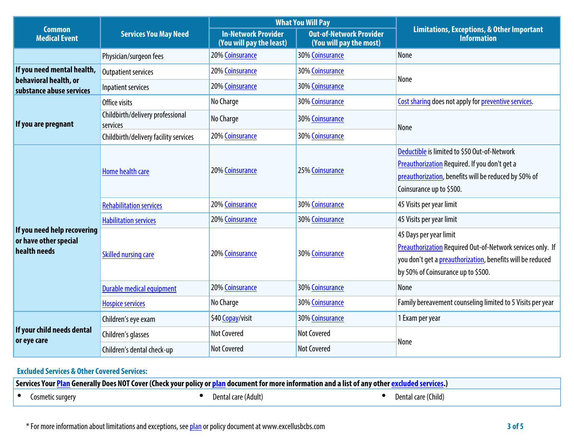|                                                                      |                                              |                                                        | <b>What You Will Pay</b>                                  |                                                                                                                                                                                                 |  |
|----------------------------------------------------------------------|----------------------------------------------|--------------------------------------------------------|-----------------------------------------------------------|-------------------------------------------------------------------------------------------------------------------------------------------------------------------------------------------------|--|
| <b>Common</b><br><b>Medical Event</b>                                | <b>Services You May Need</b>                 | <b>In-Network Provider</b><br>(You will pay the least) | <b>Out-of-Network Provider</b><br>(You will pay the most) | <b>Limitations, Exceptions, &amp; Other Important</b><br><b>Information</b>                                                                                                                     |  |
|                                                                      | Physician/surgeon fees                       | 20% Coinsurance                                        | <b>30% Coinsurance</b>                                    | <b>None</b>                                                                                                                                                                                     |  |
| If you need mental health,                                           | <b>Outpatient services</b>                   | 20% Coinsurance                                        | 30% Coinsurance                                           |                                                                                                                                                                                                 |  |
| behavioral health, or<br>substance abuse services                    | Inpatient services                           | 20% Coinsurance                                        | 30% Coinsurance                                           | None                                                                                                                                                                                            |  |
|                                                                      | Office visits                                | No Charge                                              | 30% Coinsurance                                           | Cost sharing does not apply for preventive services.                                                                                                                                            |  |
| If you are pregnant                                                  | Childbirth/delivery professional<br>services | No Charge                                              | 30% Coinsurance                                           | None                                                                                                                                                                                            |  |
|                                                                      | Childbirth/delivery facility services        | 20% Coinsurance                                        | 30% Coinsurance                                           |                                                                                                                                                                                                 |  |
|                                                                      | Home health care                             | 20% Coinsurance                                        | 25% Coinsurance                                           | Deductible is limited to \$50 Out-of-Network<br>Preauthorization Required. If you don't get a<br>preauthorization, benefits will be reduced by 50% of<br>Coinsurance up to \$500.               |  |
|                                                                      | <b>Rehabilitation services</b>               | 20% Coinsurance                                        | 30% Coinsurance                                           | 45 Visits per year limit                                                                                                                                                                        |  |
|                                                                      | <b>Habilitation services</b>                 | 20% Coinsurance                                        | 30% Coinsurance                                           | 45 Visits per year limit                                                                                                                                                                        |  |
| If you need help recovering<br>or have other special<br>health needs | <b>Skilled nursing care</b>                  | 20% Coinsurance                                        | 30% Coinsurance                                           | 45 Days per year limit<br><b>Preauthorization Required Out-of-Network services only. If</b><br>you don't get a preauthorization, benefits will be reduced<br>by 50% of Coinsurance up to \$500. |  |
|                                                                      | <b>Durable medical equipment</b>             | 20% Coinsurance                                        | <b>30% Coinsurance</b>                                    | None                                                                                                                                                                                            |  |
|                                                                      | <b>Hospice services</b>                      | No Charge                                              | <b>30% Coinsurance</b>                                    | Family bereavement counseling limited to 5 Visits per year                                                                                                                                      |  |
|                                                                      | Children's eye exam                          | \$40 Copay/visit                                       | 30% Coinsurance                                           | 1 Exam per year                                                                                                                                                                                 |  |
| If your child needs dental<br>or eye care                            | Children's glasses                           | <b>Not Covered</b>                                     | <b>Not Covered</b>                                        |                                                                                                                                                                                                 |  |
|                                                                      | Children's dental check-up                   | <b>Not Covered</b>                                     | <b>Not Covered</b>                                        | None                                                                                                                                                                                            |  |

# **Excluded Services & Other Covered Services:**

| Services Your Plan Generally Does NOT Cover (Check your policy or plan document for more information and a list of any other excluded services.) |                  |  |                     |  |                     |  |
|--------------------------------------------------------------------------------------------------------------------------------------------------|------------------|--|---------------------|--|---------------------|--|
|                                                                                                                                                  | Cosmetic surgery |  | Dental care (Adult) |  | Dental care (Child) |  |

**\* For more information about limitations and exceptions, see plan or policy document at www.excellusbcbs.com 3 of 5**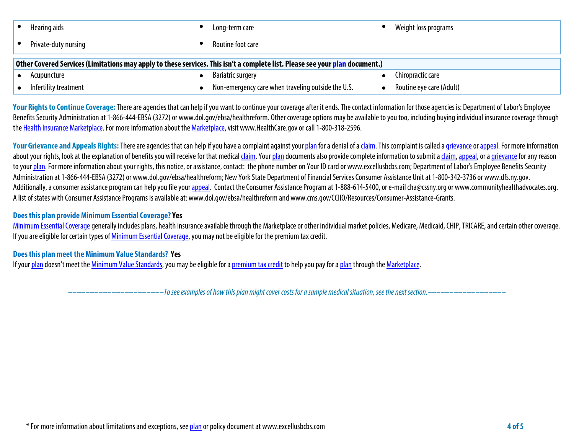|                                                                                                                              | Hearing aids          |  | Long-term care                                     |  | Weight loss programs     |  |
|------------------------------------------------------------------------------------------------------------------------------|-----------------------|--|----------------------------------------------------|--|--------------------------|--|
|                                                                                                                              | Private-duty nursing  |  | Routine foot care                                  |  |                          |  |
| Other Covered Services (Limitations may apply to these services. This isn't a complete list. Please see your plan document.) |                       |  |                                                    |  |                          |  |
|                                                                                                                              | Acupuncture           |  | <b>Bariatric surgery</b>                           |  | Chiropractic care        |  |
|                                                                                                                              | Infertility treatment |  | Non-emergency care when traveling outside the U.S. |  | Routine eye care (Adult) |  |

Your Rights to Continue Coverage: There are agencies that can help if you want to continue your coverage after it ends. The contact information for those agencies is: Department of Labor's Employee Benefits Security Administration at 1-866-444-EBSA (3272) or www.dol.gov/ebsa/healthreform. Other coverage options may be available to you too, including buying individual insurance coverage through **the Health Insurance Marketplace. For more information about the Marketplace, visit www.HealthCare.gov or call 1-800-318-2596.**

Your Grievance and Appeals Rights: There are agencies that can help if you have a complaint against your plan for a denial of a claim. This complaint is called a grievance or appeal. For more information about your rights, look at the explanation of benefits you will receive for that medical claim. Your plan documents also provide complete information to submit a claim, appeal, or a grievance for any reason **to your plan. For more information about your rights, this notice, or assistance, contact: the phone number on Your ID card or www.excellusbcbs.com; Department of Labor's Employee Benefits Security Administration at 1-866-444-EBSA (3272) or www.dol.gov/ebsa/healthreform; New York State Department of Financial Services Consumer Assistance Unitat 1-800-342-3736 or www.dfs.ny.gov.**  Additionally, a consumer assistance program can help you file your appeal. Contact the Consumer Assistance Program at 1-888-614-5400, or e-mail cha@cssny.org or www.communityhealthadvocates.org. **A list of states with Consumer Assistance Programs is available at: www.dol.gov/ebsa/healthreform and www.cms.gov/CCIIO/Resources/Consumer-Assistance-Grants.**

### **Does this plan provide Minimum Essential Coverage? Yes**

**Minimum Essential Coverage generally includes plans, health insurance available through the Marketplace or other individual market policies, Medicare, Medicaid, CHIP, TRICARE, and certain other coverage. If you are eligible for certain types of Minimum Essential Coverage, you may not be eligible for the premium tax credit.**

# **Does this plan meet the Minimum Value Standards? Yes**

**If your plan doesn't meet the Minimum Value Standards, you may be eligible for a premium tax credit to help you pay for a plan through the Marketplace.**

**––––––––––––––––––––––***To see examples of how this plan might cover costs for a sample medical situation, see the next section.–––––––––––***–––––––**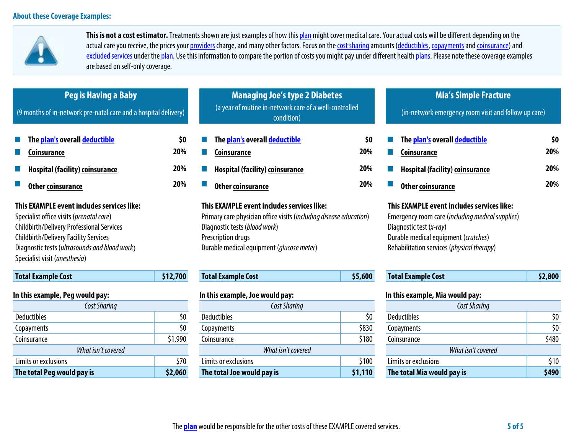

**This is not a cost estimator. Treatments shown are just examples of how this plan might cover medical care. Your actual costs will be different depending on the**  actual care you receive, the prices your providers charge, and many other factors. Focus on the cost sharing amounts (deductibles, copayments and coinsurance) and excluded services under the plan. Use this information to compare the portion of costs you might pay under different health plans. Please note these coverage examples **are based on self-only coverage.**

| <b>Peg is Having a Baby</b><br>(9 months of in-network pre-natal care and a hospital delivery)                                                                                                                                                                        |            | <b>Managing Joe's type 2 Diabetes</b><br>(a year of routine in-network care of a well-controlled<br>condition)                                                                                                       |                    | <b>Mia's Simple Fracture</b><br>(in-network emergency room visit and follow up care)                                                                                                                            |            |  |
|-----------------------------------------------------------------------------------------------------------------------------------------------------------------------------------------------------------------------------------------------------------------------|------------|----------------------------------------------------------------------------------------------------------------------------------------------------------------------------------------------------------------------|--------------------|-----------------------------------------------------------------------------------------------------------------------------------------------------------------------------------------------------------------|------------|--|
| The <mark>plan's</mark> overall <mark>deductible</mark><br>Coinsurance                                                                                                                                                                                                | \$0<br>20% | The plan's overall deductible<br>Coinsurance                                                                                                                                                                         | \$0<br>20%         | The plan's overall deductible<br><b>Coinsurance</b>                                                                                                                                                             | \$0<br>20% |  |
| <b>Hospital (facility) coinsurance</b>                                                                                                                                                                                                                                | 20%        | Hospital (facility) coinsurance                                                                                                                                                                                      | 20%                | <b>Hospital (facility) coinsurance</b>                                                                                                                                                                          | 20%        |  |
| <b>Other coinsurance</b>                                                                                                                                                                                                                                              | 20%        | <b>Other coinsurance</b>                                                                                                                                                                                             | 20%                | <b>Other coinsurance</b>                                                                                                                                                                                        | 20%        |  |
| This EXAMPLE event includes services like:<br>Specialist office visits (prenatal care)<br>Childbirth/Delivery Professional Services<br><b>Childbirth/Delivery Facility Services</b><br>Diagnostic tests (ultrasounds and blood work)<br>Specialist visit (anesthesia) |            | This EXAMPLE event includes services like:<br>Primary care physician office visits (including disease education)<br>Diagnostic tests (blood work)<br>Prescription drugs<br>Durable medical equipment (glucose meter) |                    | This EXAMPLE event includes services like:<br>Emergency room care (including medical supplies)<br>Diagnostic test (x-ray)<br>Durable medical equipment (crutches)<br>Rehabilitation services (physical therapy) |            |  |
| <b>Total Example Cost</b>                                                                                                                                                                                                                                             | \$12,700   | <b>Total Example Cost</b>                                                                                                                                                                                            | \$5,600            | <b>Total Example Cost</b>                                                                                                                                                                                       | \$2,800    |  |
| In this example, Peg would pay:<br><b>Cost Sharing</b>                                                                                                                                                                                                                |            | In this example, Joe would pay:<br>Cost Sharing                                                                                                                                                                      |                    | In this example, Mia would pay:<br>Cost Sharing                                                                                                                                                                 |            |  |
| <b>Deductibles</b>                                                                                                                                                                                                                                                    | \$0        | <b>Deductibles</b>                                                                                                                                                                                                   | \$0                | <b>Deductibles</b>                                                                                                                                                                                              | \$0        |  |
| Copayments                                                                                                                                                                                                                                                            | \$0        | Copayments                                                                                                                                                                                                           | \$830              | Copayments                                                                                                                                                                                                      | \$0        |  |
| \$1,990<br>Coinsurance                                                                                                                                                                                                                                                |            | Coinsurance                                                                                                                                                                                                          | \$180              | Coinsurance                                                                                                                                                                                                     | \$480      |  |
| What isn't covered                                                                                                                                                                                                                                                    |            | What isn't covered                                                                                                                                                                                                   | What isn't covered |                                                                                                                                                                                                                 |            |  |

**Limits or exclusions \$70 Limits or exclusions \$100 Limits or exclusions \$10 The total Peg would pay is \$2,060 The total Joe would pay is \$1,110 The total Mia would pay is \$490**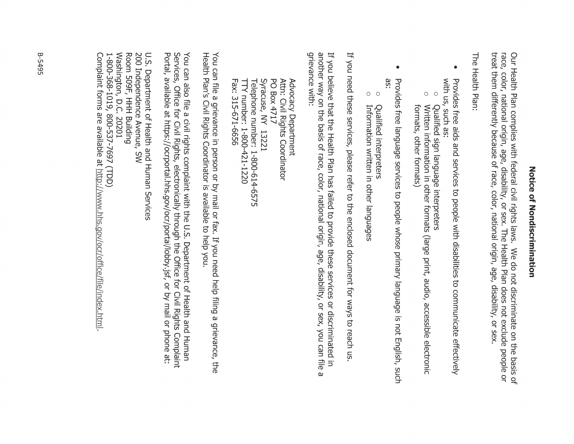# Zotice of Zondiscrimination

Our Health Plan complies with federal civil rights laws. We do not discriminate on the basis of<br>race, color, national origin, age, disability, or sex. The Health Plan does not exclude people or treat them differently because of race, color, national origin, age, disability, or sex

The Health Plan:

- with us, such as: Provides free aids and services to people with disabilities to communicate effectively
- $\circ$ Qualified sign language interpreters
- $\bigcirc$ Written information in other formats (large print, audio, accessible electronic formats, other formats)
- $\bullet$ äS. Provides free language services to people whose primary language is not English, such
- $\circ$ Qualified interpreters
- $\circ$ Information written in other languages

If you need these services, please refer to the enclosed document for ways to reach us

another way on the basis of race, color, national origin, age, disability, or sex, you can file grievance with: If you believe that the Health Plan has failed to provide these services or discriminated in ω

Telephone number: 1-800-614-6575 Syracuse, NY 13221 PO Box 4717 Attn: Civil Rights Coordinator Fax: 315-671-6656 TTY number: 1-800-421-1220 Advocacy Department

Health Plan's Civil Rights Coordinator is available to help you. You can file a grievance in person or by mail or fax. If you need help filing a grievance, the

Portal, available at https://ocrportal.hhs.gov/ocr/portal/lobby.jsf, or by mail or phone at: Services, Office for Civil Rights, electronically through the Office for Civil Rights Complaint You can also file a civil rights complaint with the U.S. Department of Health and Human

Washington, D.C. 20201 Room 509F, HHH Building 200 Independence Avenue, SW U.S. Department of Health and Human Services 1-800-368-1019, 800-537-7697 (TDD)

Complaint forms are available at http://www.hhs.gov/ocr/office/file/index.html